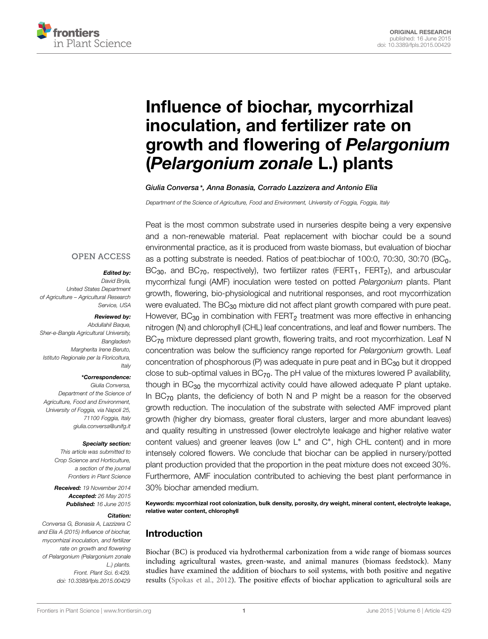

# Influence of biochar, mycorrhizal [inoculation, and fertilizer rate on](http://journal.frontiersin.org/article/10.3389/fpls.2015.00429/abstract) growth and flowering of *Pelargonium* (*Pelargonium zonale* L.) plants

*[Giulia Conversa\\*](http://community.frontiersin.org/people/u/195234), [Anna Bonasia,](http://community.frontiersin.org/people/u/242964) [Corrado Lazzizera](http://community.frontiersin.org/people/u/243018) and [Antonio Elia](http://community.frontiersin.org/people/u/195365)*

*Department of the Science of Agriculture, Food and Environment, University of Foggia, Foggia, Italy*

## **OPEN ACCESS**

#### *Edited by:*

*David Bryla, United States Department of Agriculture – Agricultural Research Service, USA*

#### *Reviewed by:*

*Abdullahil Baque, Sher-e-Bangla Agricultural University, Bangladesh Margherita Irene Beruto, Istituto Regionale per la Floricoltura, Italy*

#### *\*Correspondence:*

*Giulia Conversa, Department of the Science of Agriculture, Food and Environment, University of Foggia, via Napoli 25, 71100 Foggia, Italy giulia.conversa@unifg.it*

#### *Specialty section:*

*This article was submitted to Crop Science and Horticulture, a section of the journal Frontiers in Plant Science*

*Received: 19 November 2014 Accepted: 26 May 2015 Published: 16 June 2015*

#### *Citation:*

*Conversa G, Bonasia A, Lazzizera C and Elia A (2015) Influence of biochar, mycorrhizal inoculation, and fertilizer rate on growth and flowering of Pelargonium (Pelargonium zonale L.) plants. Front. Plant Sci. 6:429. doi: [10.3389/fpls.2015.00429](http://dx.doi.org/10.3389/fpls.2015.00429)*

Peat is the most common substrate used in nurseries despite being a very expensive and a non-renewable material. Peat replacement with biochar could be a sound environmental practice, as it is produced from waste biomass, but evaluation of biochar as a potting substrate is needed. Ratios of peat:biochar of 100:0, 70:30, 30:70 (BC0,  $BC_{30}$ , and  $BC_{70}$ , respectively), two fertilizer rates (FERT<sub>1</sub>, FERT<sub>2</sub>), and arbuscular mycorrhizal fungi (AMF) inoculation were tested on potted *Pelargonium* plants. Plant growth, flowering, bio-physiological and nutritional responses, and root mycorrhization were evaluated. The BC<sub>30</sub> mixture did not affect plant growth compared with pure peat. However,  $BC_{30}$  in combination with FERT<sub>2</sub> treatment was more effective in enhancing nitrogen (N) and chlorophyll (CHL) leaf concentrations, and leaf and flower numbers. The BC<sub>70</sub> mixture depressed plant growth, flowering traits, and root mycorrhization. Leaf N concentration was below the sufficiency range reported for *Pelargonium* growth. Leaf concentration of phosphorous (P) was adequate in pure peat and in BC<sub>30</sub> but it dropped close to sub-optimal values in  $BC_{70}$ . The pH value of the mixtures lowered P availability, though in  $BC_{30}$  the mycorrhizal activity could have allowed adequate P plant uptake. In  $BC_{70}$  plants, the deficiency of both N and P might be a reason for the observed growth reduction. The inoculation of the substrate with selected AMF improved plant growth (higher dry biomass, greater floral clusters, larger and more abundant leaves) and quality resulting in unstressed (lower electrolyte leakage and higher relative water content values) and greener leaves (low L∗ and C∗, high CHL content) and in more intensely colored flowers. We conclude that biochar can be applied in nursery/potted plant production provided that the proportion in the peat mixture does not exceed 30%. Furthermore, AMF inoculation contributed to achieving the best plant performance in 30% biochar amended medium.

Keywords: mycorrhizal root colonization, bulk density, porosity, dry weight, mineral content, electrolyte leakage, relative water content, chlorophyll

## Introduction

Biochar (BC) is produced via hydrothermal carbonization from a wide range of biomass sources including agricultural wastes, green-waste, and animal manures (biomass feedstock). Many studies have examined the addition of biochars to soil systems, with both positive and negative results [\(Spokas et al.](#page-10-0), [2012](#page-10-0)). The positive effects of biochar application to agricultural soils are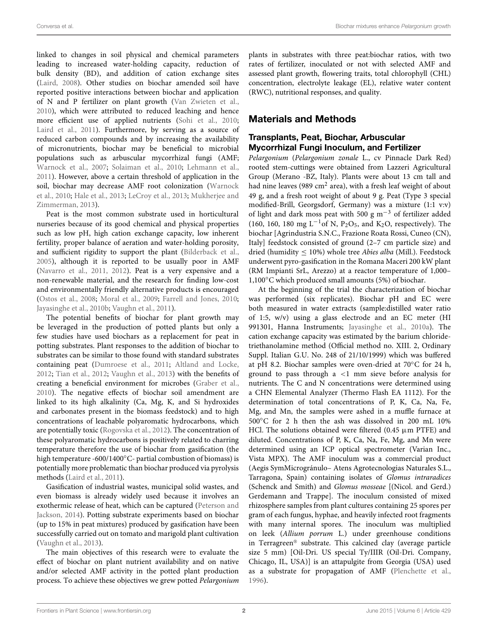linked to changes in soil physical and chemical parameters leading to increased water-holding capacity, reduction of bulk density (BD), and addition of cation exchange sites [\(Laird, 2008](#page-10-1)). Other studies on biochar amended soil have reported positive interactions between biochar and application of N and P fertilizer on plant growth [\(Van Zwieten et al.](#page-10-2), [2010](#page-10-2)), which were attributed to reduced leaching and hence more efficient use of applied nutrients [\(Sohi et al., 2010](#page-10-3); [Laird et al.](#page-10-4), [2011\)](#page-10-4). Furthermore, by serving as a source of reduced carbon compounds and by increasing the availability of micronutrients, biochar may be beneficial to microbial populations such as arbuscular mycorrhizal fungi (AMF; [Warnock et al.](#page-10-5), [2007;](#page-10-5) [Solaiman et al., 2010;](#page-10-6) [Lehmann et al.](#page-10-7), [2011](#page-10-7)). However, above a certain threshold of application in the soil, [biochar](#page-10-8) [may](#page-10-8) [decrease](#page-10-8) [AMF](#page-10-8) [root](#page-10-8) [colonization](#page-10-8) [\(](#page-10-8)Warnock et al., [2010;](#page-10-8) [Hale et al., 2013;](#page-9-0) [LeCroy et al.](#page-10-9)[,](#page-10-10) [2013](#page-10-9)[;](#page-10-10) Mukherjee and Zimmerman, [2013\)](#page-10-10).

Peat is the most common substrate used in horticultural nurseries because of its good chemical and physical properties such as low pH, high cation exchange capacity, low inherent fertility, proper balance of aeration and water-holding porosity, and sufficient rigidity to support the plant [\(Bilderback et al.](#page-9-1), [2005](#page-9-1)), although it is reported to be usually poor in AMF [\(Navarro et al.](#page-10-11), [2011](#page-10-11), [2012\)](#page-10-12). Peat is a very expensive and a non-renewable material, and the research for finding low-cost and environmentally friendly alternative products is encouraged [\(Ostos et al., 2008;](#page-10-13) [Moral et al., 2009;](#page-10-14) [Farrell and Jones](#page-9-2), [2010](#page-9-2); [Jayasinghe et al.](#page-9-3), [2010b;](#page-9-3) [Vaughn et al., 2011](#page-10-15)).

The potential benefits of biochar for plant growth may be leveraged in the production of potted plants but only a few studies have used biochars as a replacement for peat in potting substrates. Plant responses to the addition of biochar to substrates can be similar to those found with standard substrates containing peat [\(Dumroese et al., 2011](#page-9-4); [Altland and Locke](#page-9-5), [2012](#page-9-5); [Tian et al.](#page-10-16), [2012;](#page-10-16) [Vaughn et al., 2013](#page-10-17)) with the benefits of creating a beneficial environment for microbes [\(Graber et al.](#page-9-6), [2010](#page-9-6)). The negative effects of biochar soil amendment are linked to its high alkalinity (Ca, Mg, K, and Si hydroxides and carbonates present in the biomass feedstock) and to high concentrations of leachable polyaromatic hydrocarbons, which are potentially toxic [\(Rogovska et al., 2012](#page-10-18)). The concentration of these polyaromatic hydrocarbons is positively related to charring temperature therefore the use of biochar from gasification (the high temperature -600/1400◦C- partial combustion of biomass) is potentially more problematic than biochar produced via pyrolysis methods [\(Laird et al.](#page-10-4), [2011](#page-10-4)).

Gasification of industrial wastes, municipal solid wastes, and even biomass is already widely used because it involves an exother[mic release of heat, which can be captured \(](#page-10-19)Peterson and Jackson, [2014\)](#page-10-19). Potting substrate experiments based on biochar (up to 15% in peat mixtures) produced by gasification have been successfully carried out on tomato and marigold plant cultivation [\(Vaughn et al., 2013](#page-10-17)).

The main objectives of this research were to evaluate the effect of biochar on plant nutrient availability and on native and/or selected AMF activity in the potted plant production process. To achieve these objectives we grew potted *Pelargonium*

plants in substrates with three peat:biochar ratios, with two rates of fertilizer, inoculated or not with selected AMF and assessed plant growth, flowering traits, total chlorophyll (CHL) concentration, electrolyte leakage (EL), relative water content (RWC), nutritional responses, and quality.

## Materials and Methods

## Transplants, Peat, Biochar, Arbuscular Mycorrhizal Fungi Inoculum, and Fertilizer

*Pelargonium* (*Pelargonium zonale* L., cv Pinnacle Dark Red) rooted stem-cuttings were obtained from Lazzeri Agricultural Group (Merano -BZ, Italy). Plants were about 13 cm tall and had nine leaves (989 cm<sup>2</sup> area), with a fresh leaf weight of about 49 g, and a fresh root weight of about 9 g. Peat (Type 3 special modified-Brill, Georgsdorf, Germany) was a mixture (1:1 v:v) of light and dark moss peat with 500 g  $m^{-3}$  of fertilizer added (160, 160, 180 mg L<sup>-1</sup>of N, P<sub>2</sub>O<sub>5</sub>, and K<sub>2</sub>O, respectively). The biochar [Agrindustria S.N.C., Frazione Roata Rossi, Cuneo (CN), Italy] feedstock consisted of ground (2–7 cm particle size) and dried (humidity ≤ 10%) whole tree *Abies alba* (Mill.). Feedstock underwent pyro-gasification in the Romana Maceri 200 kW plant (RM Impianti SrL, Arezzo) at a reactor temperature of 1,000– 1,100◦C which produced small amounts (5%) of biochar.

At the beginning of the trial the characterization of biochar was performed (six replicates). Biochar pH and EC were both measured in water extracts (sample:distilled water ratio of 1:5, w/v) using a glass electrode and an EC meter (HI 991301, Hanna Instruments; [Jayasinghe et al.](#page-9-7), [2010a\)](#page-9-7). The cation exchange capacity was estimated by the barium chloridetriethanolamine method (Official method no. XIII. 2, Ordinary Suppl. Italian G.U. No. 248 of 21/10/1999) which was buffered at pH 8.2. Biochar samples were oven-dried at 70◦C for 24 h, ground to pass through a *<*1 mm sieve before analysis for nutrients. The C and N concentrations were determined using a CHN Elemental Analyzer (Thermo Flash EA 1112). For the determination of total concentrations of P, K, Ca, Na, Fe, Mg, and Mn, the samples were ashed in a muffle furnace at 500◦C for 2 h then the ash was dissolved in 200 mL 10% HCl. The solutions obtained were filtered  $(0.45 \mu m$  PTFE) and diluted. Concentrations of P, K, Ca, Na, Fe, Mg, and Mn were determined using an ICP optical spectrometer (Varian Inc., Vista MPX). The AMF inoculum was a commercial product (Aegis SymMicrogránulo– Atens Agrotecnologias Naturales S.L., Tarragona, Spain) containing isolates of *Glomus intraradices* (Schenck and Smith) and *Glomus mosseae* [(Nicol. and Gerd.) Gerdemann and Trappe]. The inoculum consisted of mixed rhizosphere samples from plant cultures containing 25 spores per gram of each fungus, hyphae, and heavily infected root fragments with many internal spores. The inoculum was multiplied on leek (*Allium porrum* L.) under greenhouse conditions in Terragreen® substrate. This calcined clay (average particle size 5 mm) [Oil-Dri. US special Ty/IIIR (Oil-Dri. Company, Chicago, IL, USA)] is an attapulgite from Georgia (USA) used as a substrate for propagation of AMF [\(Plenchette et al.](#page-10-20), [1996\)](#page-10-20).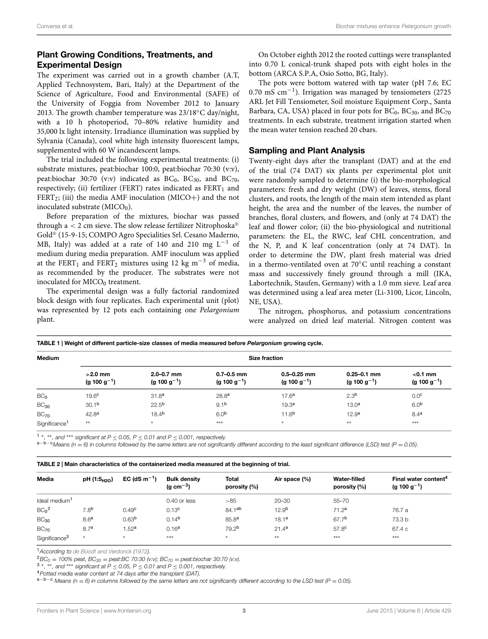## Plant Growing Conditions, Treatments, and Experimental Design

The experiment was carried out in a growth chamber (A.T, Applied Technosystem, Bari, Italy) at the Department of the Science of Agriculture, Food and Environmental (SAFE) of the University of Foggia from November 2012 to January 2013. The growth chamber temperature was 23/18◦C day/night, with a 10 h photoperiod, 70–80% relative humidity and 35,000 lx light intensity. Irradiance illumination was supplied by Sylvania (Canada), cool white high intensity fluorescent lamps, supplemented with 60 W incandescent lamps.

The trial included the following experimental treatments: (i) substrate mixtures, peat:biochar 100:0, peat:biochar 70:30 (v:v), peat:biochar 30:70 (v:v) indicated as  $BC_0$ ,  $BC_{30}$ , and  $BC_{70}$ , respectively; (ii) fertilizer (FERT) rates indicated as  $FERT<sub>1</sub>$  and  $FERT_2$ ; (iii) the media AMF inoculation (MICO+) and the not inoculated substrate  $(MICO<sub>0</sub>)$ .

Before preparation of the mixtures, biochar was passed through  $a < 2$  cm sieve. The slow release fertilizer Nitrophoska<sup>®</sup> Gold® (15-9-15; COMPO Agro Specialities Srl. Cesano Maderno, MB, Italy) was added at a rate of 140 and 210 mg  $L^{-1}$  of medium during media preparation. AMF inoculum was applied at the FERT<sub>1</sub> and FERT<sub>2</sub> mixtures using 12 kg m<sup>-3</sup> of media, as recommended by the producer. The substrates were not inoculated for  $MICO<sub>0</sub>$  treatment.

The experimental design was a fully factorial randomized block design with four replicates. Each experimental unit (plot) was represented by 12 pots each containing one *Pelargonium* plant.

On October eighth 2012 the rooted cuttings were transplanted into 0.70 L conical-trunk shaped pots with eight holes in the bottom (ARCA S.P.A, Osio Sotto, BG, Italy).

The pots were bottom watered with tap water (pH 7.6; EC 0.70 mS cm−1). Irrigation was managed by tensiometers (2725 ARL Jet Fill Tensiometer, Soil moisture Equipment Corp., Santa Barbara, CA, USA) placed in four pots for  $BC_0$ ,  $BC_{30}$ , and  $BC_{70}$ treatments. In each substrate, treatment irrigation started when the mean water tension reached 20 cbars.

#### Sampling and Plant Analysis

Twenty-eight days after the transplant (DAT) and at the end of the trial (74 DAT) six plants per experimental plot unit were randomly sampled to determine (i) the bio-morphological parameters: fresh and dry weight (DW) of leaves, stems, floral clusters, and roots, the length of the main stem intended as plant height, the area and the number of the leaves, the number of branches, floral clusters, and flowers, and (only at 74 DAT) the leaf and flower color; (ii) the bio-physiological and nutritional parameters: the EL, the RWC, leaf CHL concentration, and the N, P, and K leaf concentration (only at 74 DAT). In order to determine the DW, plant fresh material was dried in a thermo-ventilated oven at 70◦C until reaching a constant mass and successively finely ground through a mill (IKA, Labortechnik, Staufen, Germany) with a 1.0 mm sieve. Leaf area was determined using a leaf area meter (Li-3100, Licor, Lincoln, NE, USA).

The nitrogen, phosphorus, and potassium concentrations were analyzed on dried leaf material. Nitrogen content was

| <b>Medium</b>             | <b>Size fraction</b>                  |                                            |                                            |                                             |                                             |                                        |  |  |  |  |  |  |  |
|---------------------------|---------------------------------------|--------------------------------------------|--------------------------------------------|---------------------------------------------|---------------------------------------------|----------------------------------------|--|--|--|--|--|--|--|
|                           | $>2.0$ mm<br>(g 100 g <sup>-1</sup> ) | $2.0 - 0.7$ mm<br>(g 100 g <sup>-1</sup> ) | $0.7 - 0.5$ mm<br>(g 100 g <sup>-1</sup> ) | $0.5 - 0.25$ mm<br>(g 100 g <sup>-1</sup> ) | $0.25 - 0.1$ mm<br>(g 100 g <sup>-1</sup> ) | $<$ 0.1 mm<br>(g 100 g <sup>-1</sup> ) |  |  |  |  |  |  |  |
| BC <sub>0</sub>           | 19.6 <sup>c</sup>                     | 31.8 <sup>a</sup>                          | 28.8 <sup>a</sup>                          | 17.6 <sup>a</sup>                           | 2.3 <sup>b</sup>                            | 0.0 <sup>c</sup>                       |  |  |  |  |  |  |  |
| $BC_{30}$                 | 30.1 <sup>b</sup>                     | $22.5^{b}$                                 | 9.1 <sup>b</sup>                           | 19.3 <sup>a</sup>                           | 13.0 <sup>a</sup>                           | 6.0 <sup>b</sup>                       |  |  |  |  |  |  |  |
| $BC_{70}$                 | 42.8 <sup>a</sup>                     | 18.4 <sup>b</sup>                          | 6.0 <sup>b</sup>                           | 11.6 <sup>b</sup>                           | 12.9 <sup>a</sup>                           | 8.4 <sup>a</sup>                       |  |  |  |  |  |  |  |
| Significance <sup>1</sup> | $***$                                 | $\ast$                                     | ***                                        | $*$                                         | $**$                                        | ***                                    |  |  |  |  |  |  |  |

<sup>1</sup>\*, \*\*, and \*\*\* significant at P  $\leq$  0.05, P  $\leq$  0.01 and P  $\leq$  0.001, respectively.<br><sup>a-b-c</sup>Means (n = 6) in columns followed by the same letters are not significantly different according to the least significant

<span id="page-2-1"></span>TABLE 2 | Main characteristics of the containerized media measured at the beginning of trial.

<span id="page-2-0"></span>TABLE 1 | Weight of different particle-size classes of media measured before *Pelargonium* growing cycle.

| Media                        | pH (1:5 <sub>H2O</sub> ) | EC (dS $m^{-1}$ ) | <b>Bulk density</b><br>(g cm $^{-3}$ ) | <b>Total</b><br>porosity (%) | Air space (%)     | <b>Water-filled</b><br>porosity (%) | Final water content <sup>4</sup><br>(g 100 g <sup>-1</sup> ) |
|------------------------------|--------------------------|-------------------|----------------------------------------|------------------------------|-------------------|-------------------------------------|--------------------------------------------------------------|
| Ideal medium <sup>1</sup>    |                          |                   | 0.40 or less                           | >85                          | $20 - 30$         | $55 - 70$                           |                                                              |
| BC <sub>0</sub> <sup>2</sup> | 7.8 <sup>b</sup>         | 0.49 <sup>c</sup> | 0.13 <sup>c</sup>                      | 84.1 <sup>ab</sup>           | 12.9 <sup>b</sup> | 71.2 <sup>a</sup>                   | 76.7 a                                                       |
| $BC_{30}$                    | 8.6 <sup>a</sup>         | 0.63 <sup>b</sup> | 0.14 <sup>b</sup>                      | 85.8 <sup>a</sup>            | 18.1 <sup>a</sup> | 67.7 <sup>b</sup>                   | 73.3 b                                                       |
| $BC_{70}$                    | 8.7 <sup>a</sup>         | 1.52 <sup>a</sup> | 0.16 <sup>a</sup>                      | 79.2 <sup>b</sup>            | 21.4 <sup>a</sup> | 57.8 <sup>c</sup>                   | 67.4 c                                                       |
| Significance <sup>3</sup>    | $*$                      | $\ast$            | ***                                    | $*$                          | **                | ***                                 | ***                                                          |

<sup>1</sup>*According to [de Boodt and Verdonck](#page-9-8) [\(1972](#page-9-8)).*

 ${}^2BC_0 = 100\%$  peat,  $BC_{30} =$  peat:BC 70:30 (v:v);  $BC_{70} =$  peat:biochar 30:70 (v:v).<br>3 \*, \*\*, and \*\*\* significant at  $P \le 0.05$ ,  $P \le 0.01$  and  $P \le 0.001$ , respectively.<br>4 Potted media water content at 74 days after th

<sup>a</sup>−b−<sup>c</sup> *Means (n* <sup>=</sup> *6) in columns followed by the same letters are not significantly different according to the LSD test (P* <sup>=</sup> *0.05).*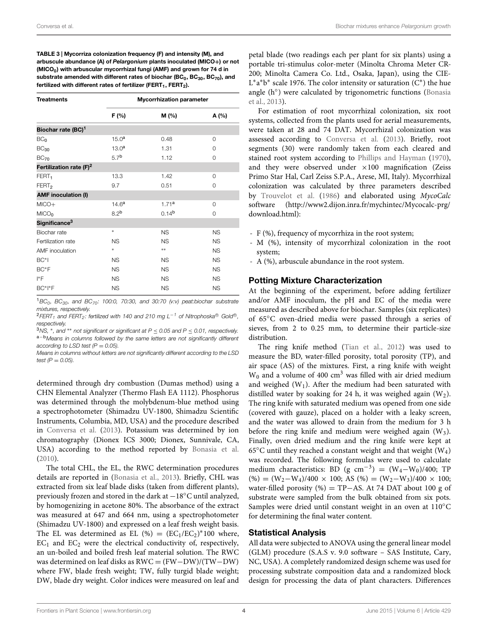<span id="page-3-0"></span>TABLE 3 | Mycorriza colonization frequency (F) and intensity (M), and arbuscule abundance (A) of *Pelargonium* plants inoculated (MICO**+**) or not (MICO<sub>0</sub>) with arbuscular mycorrhizal fungi (AMF) and grown for 74 d in substrate amended with different rates of biochar (BC $_0$ , BC $_{30}$ , BC $_{70}$ ), and fertilized with different rates of fertilizer (FERT<sub>1</sub>, FERT<sub>2</sub>).

| <b>Treatments</b>                   | <b>Mycorrhization parameter</b> |                   |           |  |  |  |  |  |  |  |
|-------------------------------------|---------------------------------|-------------------|-----------|--|--|--|--|--|--|--|
|                                     | F(% )                           | M(%)              |           |  |  |  |  |  |  |  |
| Biochar rate (BC) <sup>1</sup>      |                                 |                   |           |  |  |  |  |  |  |  |
| BC <sub>0</sub>                     | 15.0 <sup>a</sup>               | 0.48              | $\Omega$  |  |  |  |  |  |  |  |
| BC <sub>30</sub>                    | 13.0 <sup>a</sup>               | 1.31              | $\Omega$  |  |  |  |  |  |  |  |
| $BC_{70}$                           | 5.7 <sup>b</sup>                | 1.12              | $\Omega$  |  |  |  |  |  |  |  |
| Fertilization rate (F) <sup>2</sup> |                                 |                   |           |  |  |  |  |  |  |  |
| FERT <sub>1</sub>                   | 13.3                            | 1.42              | $\Omega$  |  |  |  |  |  |  |  |
| FERT <sub>2</sub>                   | 9.7                             | 0.51              | $\Omega$  |  |  |  |  |  |  |  |
| <b>AMF</b> inoculation (I)          |                                 |                   |           |  |  |  |  |  |  |  |
| $MICO+$                             | 14.6 <sup>a</sup>               | 1.71a             | 0         |  |  |  |  |  |  |  |
| MICO <sub>0</sub>                   | 8.2 <sup>b</sup>                | 0.14 <sup>b</sup> | $\Omega$  |  |  |  |  |  |  |  |
| Significance <sup>3</sup>           |                                 |                   |           |  |  |  |  |  |  |  |
| Biochar rate                        | $\ast$                          | <b>NS</b>         | <b>NS</b> |  |  |  |  |  |  |  |
| Fertilization rate                  | <b>NS</b>                       | <b>NS</b>         | <b>NS</b> |  |  |  |  |  |  |  |
| <b>AMF</b> inoculation              | $\ast$                          | **                | <b>NS</b> |  |  |  |  |  |  |  |
| $BC*1$                              | <b>NS</b>                       | <b>NS</b>         | <b>NS</b> |  |  |  |  |  |  |  |
| BC*F                                | <b>NS</b>                       | <b>NS</b>         | <b>NS</b> |  |  |  |  |  |  |  |
| l*F                                 | <b>NS</b>                       | <b>NS</b>         | <b>NS</b> |  |  |  |  |  |  |  |
| $BC*I*F$                            | <b>NS</b>                       | <b>NS</b>         | <b>NS</b> |  |  |  |  |  |  |  |

<sup>1</sup>*BC0, BC30, and BC70: 100:0, 70:30, and 30:70 (v:v) peat:biochar substrate mixtures, respectively.*

<sup>2</sup>*FERT<sub>1</sub></sub> and FERT<sub>2</sub>: fertilized with 140 and 210 mg L<sup>−1</sup> of Nitrophoska<sup>®</sup> Gold<sup>®</sup>,* respectively.<br><sup>3</sup>NS, \*, and \*\* not significant or significant at P  $\leq$  0.05 and P  $\leq$  0.01, respectively.

<sup>a-b</sup>Means in columns followed by the same letters are not significantly different *according to LSD test (P* = *0.05).*

*Means in columns without letters are not significantly different according to the LSD test*  $(P = 0.05)$ .

determined through dry combustion (Dumas method) using a CHN Elemental Analyzer (Thermo Flash EA 1112). Phosphorus was determined through the molybdenum-blue method using a spectrophotometer (Shimadzu UV-1800, Shimadzu Scientific Instruments, Columbia, MD, USA) and the procedure described in [Conversa et al.](#page-9-9) [\(2013\)](#page-9-9). Potassium was determined by ion chromatography (Dionex ICS 3000; Dionex, Sunnivale, CA, USA) according to the method reported by [Bonasia et al.](#page-9-10) [\(2010](#page-9-10)).

The total CHL, the EL, the RWC determination procedures details are reported in [\(Bonasia et al., 2013\)](#page-9-11). Briefly, CHL was extracted from six leaf blade disks (taken from different plants), previously frozen and stored in the dark at −18◦C until analyzed, by homogenizing in acetone 80%. The absorbance of the extract was measured at 647 and 664 nm, using a spectrophotometer (Shimadzu UV-1800) and expressed on a leaf fresh weight basis. The EL was determined as EL  $(\%) = (EC_1/EC_2)^*100$  where,  $EC<sub>1</sub>$  and  $EC<sub>2</sub>$  were the electrical conductivity of, respectively, an un-boiled and boiled fresh leaf material solution. The RWC was determined on leaf disks as RWC = (FW−DW)/(TW−DW) where FW, blade fresh weight; TW, fully turgid blade weight; DW, blade dry weight. Color indices were measured on leaf and

petal blade (two readings each per plant for six plants) using a portable tri-stimulus color-meter (Minolta Chroma Meter CR-200; Minolta Camera Co. Ltd., Osaka, Japan), using the CIE-L<sup>\*</sup>a<sup>\*</sup>b<sup>\*</sup> scale 1976. The color intensity or saturation  $(C^*)$  the hue angle (h◦[\) were calculated by trigonometric functions \(](#page-9-11)Bonasia et al., [2013\)](#page-9-11).

For estimation of root mycorrhizal colonization, six root systems, collected from the plants used for aerial measurements, were taken at 28 and 74 DAT. Mycorrhizal colonization was assessed according to [Conversa et al.](#page-9-9) [\(2013](#page-9-9)). Briefly, root segments (30) were randomly taken from each cleared and stained root system according to [Phillips and Hayman](#page-10-21) [\(1970\)](#page-10-21), and they were observed under  $\times 100$  magnification (Zeiss Primo Star Hal, Carl Zeiss S.P.A., Arese, MI, Italy). Mycorrhizal colonization was calculated by three parameters described by [Trouvelot et al.](#page-10-22) [\(1986](#page-10-22)) and elaborated using *MycoCalc* software [\(http://www2.dijon.inra.fr/mychintec/Mycocalc-prg/](http://www2.dijon.inra.fr/mychintec/Mycocalc-prg/download.html) [download.html\)](http://www2.dijon.inra.fr/mychintec/Mycocalc-prg/download.html):

- F (%), frequency of mycorrhiza in the root system;
- M (%), intensity of mycorrhizal colonization in the root system;
- A (%), arbuscule abundance in the root system.

#### Potting Mixture Characterization

At the beginning of the experiment, before adding fertilizer and/or AMF inoculum, the pH and EC of the media were measured as described above for biochar. Samples (six replicates) of 65◦C oven-dried media were passed through a series of sieves, from 2 to 0.25 mm, to determine their particle-size distribution.

The ring knife method [\(Tian et al., 2012\)](#page-10-16) was used to measure the BD, water-filled porosity, total porosity (TP), and air space (AS) of the mixtures. First, a ring knife with weight  $W_0$  and a volume of 400 cm<sup>3</sup> was filled with air dried medium and weighed  $(W_1)$ . After the medium had been saturated with distilled water by soaking for 24 h, it was weighed again  $(W_2)$ . The ring knife with saturated medium was opened from one side (covered with gauze), placed on a holder with a leaky screen, and the water was allowed to drain from the medium for 3 h before the ring knife and medium were weighed again  $(W_3)$ . Finally, oven dried medium and the ring knife were kept at 65 $\rm ^{\circ}C$  until they reached a constant weight and that weight (W<sub>4</sub>) was recorded. The following formulas were used to calculate medium characteristics: BD (g cm<sup>-3</sup>) =  $(W_4-W_0)/400$ ; TP  $(\%) = (W_2-W_4)/400 \times 100$ ; AS  $(\%) = (W_2-W_3)/400 \times 100$ ; water-filled porosity (%) = TP-AS. At 74 DAT about 100 g of substrate were sampled from the bulk obtained from six pots. Samples were dried until constant weight in an oven at 110◦C for determining the final water content.

#### Statistical Analysis

All data were subjected to ANOVA using the general linear model (GLM) procedure (S.A.S v. 9.0 software – SAS Institute, Cary, NC, USA). A completely randomized design scheme was used for processing substrate composition data and a randomized block design for processing the data of plant characters. Differences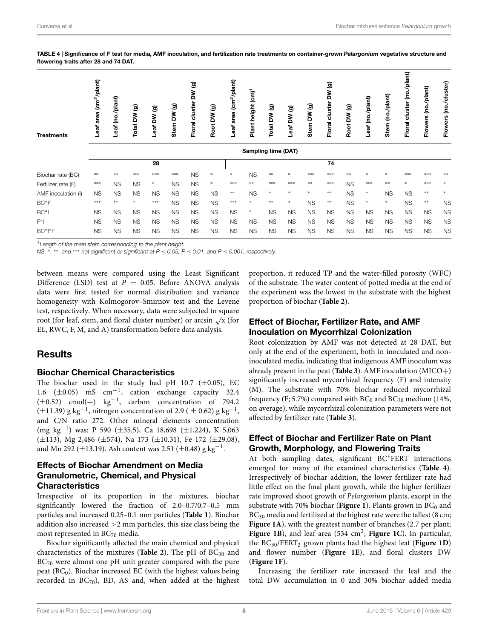$\blacksquare$ 

<span id="page-4-0"></span>TABLE 4 | Significance of *F* test for media, AMF inoculation, and fertilization rate treatments on container-grown *Pelargonium* vegetative structure and flowering traits after 28 and 74 DAT.

| <b>Treatments</b>   | eaf area (cm <sup>2</sup> /plant) | eaf (no./plant) | Total DW (g) | ම<br>λĀ<br>eaf | DW (g)<br><b>Stem</b> | $\widehat{\mathbf{e}}$<br>š<br>cluster<br><b>Floral</b> | DW <sub>(9)</sub><br>Root | area (cm <sup>2</sup> /plant)<br>-eaf | Plant height (cm) <sup>1</sup> | ම<br>Total DW | ම<br>Leaf DW | (b) MO<br>Stem | $\widehat{\mathbf{e}}$<br>š<br>cluster<br>Floral | ම<br>Root DW | Leaf (no./plant) | (no./plant)<br>Stem | (no./plant)<br>cluster<br>Floral | (no./plant)<br><b>Flowers</b> | Flowers (no./cluster) |
|---------------------|-----------------------------------|-----------------|--------------|----------------|-----------------------|---------------------------------------------------------|---------------------------|---------------------------------------|--------------------------------|---------------|--------------|----------------|--------------------------------------------------|--------------|------------------|---------------------|----------------------------------|-------------------------------|-----------------------|
|                     | Sampling time (DAT)               |                 |              |                |                       |                                                         |                           |                                       |                                |               |              |                |                                                  |              |                  |                     |                                  |                               |                       |
|                     |                                   |                 |              | 28             |                       |                                                         |                           |                                       |                                |               |              |                | 74                                               |              |                  |                     |                                  |                               |                       |
| Biochar rate (BC)   | **                                | **              | ***          | ***            | ***                   | <b>NS</b>                                               | $\ast$                    | $\ast$                                | <b>NS</b>                      | **            |              | ***            | ***                                              | **           |                  |                     | ***                              | ***                           | **                    |
| Fertilizer rate (F) | ***                               | <b>NS</b>       | <b>NS</b>    | $\ast$         | <b>NS</b>             | <b>NS</b>                                               | $\ast$                    | ***                                   | **                             | ***           | ***          | **             | ***                                              | <b>NS</b>    | ***              | $**$                |                                  | ***                           |                       |
| AMF inoculation (I) | <b>NS</b>                         | <b>NS</b>       | <b>NS</b>    | <b>NS</b>      | <b>NS</b>             | <b>NS</b>                                               | <b>NS</b>                 | $***$                                 | <b>NS</b>                      | $*$           | $\ast$       | $\ast$         | $***$                                            | <b>NS</b>    | $\ast$           | <b>NS</b>           | <b>NS</b>                        | **                            | $\ast$                |
| BC*F                | ***                               | **              | $\ast$       | ***            | <b>NS</b>             | <b>NS</b>                                               | <b>NS</b>                 | ***                                   | $\ast$                         | **            | *            | <b>NS</b>      | $***$                                            | <b>NS</b>    | $*$              | $*$                 | <b>NS</b>                        | $**$                          | <b>NS</b>             |
| $BC*$               | <b>NS</b>                         | <b>NS</b>       | <b>NS</b>    | <b>NS</b>      | <b>NS</b>             | <b>NS</b>                                               | <b>NS</b>                 | <b>NS</b>                             | $\ast$                         | <b>NS</b>     | <b>NS</b>    | <b>NS</b>      | <b>NS</b>                                        | <b>NS</b>    | <b>NS</b>        | <b>NS</b>           | <b>NS</b>                        | <b>NS</b>                     | <b>NS</b>             |
| $F^*$               | <b>NS</b>                         | <b>NS</b>       | <b>NS</b>    | <b>NS</b>      | <b>NS</b>             | <b>NS</b>                                               | <b>NS</b>                 | <b>NS</b>                             | <b>NS</b>                      | <b>NS</b>     | <b>NS</b>    | <b>NS</b>      | <b>NS</b>                                        | <b>NS</b>    | <b>NS</b>        | <b>NS</b>           | <b>NS</b>                        | <b>NS</b>                     | <b>NS</b>             |
| BC*I*F              | <b>NS</b>                         | <b>NS</b>       | <b>NS</b>    | <b>NS</b>      | <b>NS</b>             | <b>NS</b>                                               | <b>NS</b>                 | <b>NS</b>                             | <b>NS</b>                      | <b>NS</b>     | <b>NS</b>    | <b>NS</b>      | <b>NS</b>                                        | <b>NS</b>    | <b>NS</b>        | <b>NS</b>           | <b>NS</b>                        | <b>NS</b>                     | <b>NS</b>             |

<sup>1</sup>*Length of the main stem corresponding to the plant height.*

*NS,* <sup>∗</sup>*,* ∗∗*, and* ∗∗∗ *not significant or significant at P* ≤ *0.05, P* ≤ *0.01, and P* ≤ *0.001, respectively.*

between means were compared using the Least Significant Difference (LSD) test at  $P = 0.05$ . Before ANOVA analysis data were first tested for normal distribution and variance homogeneity with Kolmogorov–Smirnov test and the Levene test, respectively. When necessary, data were subjected to square root (for leaf, stem, and floral cluster number) or arcsin  $\sqrt{x}$  (for EL, RWC, F, M, and A) transformation before data analysis.

## **Results**

#### Biochar Chemical Characteristics

The biochar used in the study had pH 10.7  $(\pm 0.05)$ , EC 1.6 ( $\pm$ 0.05) mS cm<sup>-1</sup>, cation exchange capacity 32.4  $(\pm 0.52)$  cmol $(+)$  kg<sup>-1</sup>, carbon concentration of 794.2  $(\pm 11.39)$  g kg<sup>-1</sup>, nitrogen concentration of 2.9 ( $\pm$  0.62) g kg<sup>-1</sup>, and C/N ratio 272. Other mineral elements concentration (mg kg−1) was: P 590 (±35.5), Ca 18,698 (±1,224), K 5,063 (±113), Mg 2,486 (±574), Na 173 (±10.31), Fe 172 (±29.08), and Mn 292 ( $\pm$ 13.19). Ash content was 2.51 ( $\pm$ 0.48) g kg<sup>-1</sup>.

#### Effects of Biochar Amendment on Media Granulometric, Chemical, and Physical **Characteristics**

Irrespective of its proportion in the mixtures, biochar significantly lowered the fraction of 2.0–0.7/0.7–0.5 mm particles and increased 0.25–0.1 mm particles (**[Table 1](#page-2-0)**). Biochar addition also increased *>*2 mm particles, this size class being the most represented in BC<sub>70</sub> media.

Biochar significantly affected the main chemical and physical characteristics of the mixtures ([Table 2](#page-2-1)). The pH of BC<sub>30</sub> and  $BC_{70}$  were almost one pH unit greater compared with the pure peat ( $BC<sub>0</sub>$ ). Biochar increased EC (with the highest values being recorded in  $BC_{70}$ ), BD, AS and, when added at the highest proportion, it reduced TP and the water-filled porosity (WFC) of the substrate. The water content of potted media at the end of the experiment was the lowest in the substrate with the highest proportion of biochar (**[Table 2](#page-2-1)**).

#### Effect of Biochar, Fertilizer Rate, and AMF Inoculation on Mycorrhizal Colonization

Root colonization by AMF was not detected at 28 DAT, but only at the end of the experiment, both in inoculated and noninoculated media, indicating that indigenous AMF inoculum was already present in the peat (**[Table 3](#page-3-0)**). AMF inoculation (MICO+) significantly increased mycorrhizal frequency (F) and intensity (M). The substrate with 70% biochar reduced mycorrhizal frequency (F; 5.7%) compared with  $BC_0$  and  $BC_{30}$  medium (14%, on average), while mycorrhizal colonization parameters were not affected by fertilizer rate (**[Table 3](#page-3-0)**).

#### Effect of Biochar and Fertilizer Rate on Plant Growth, Morphology, and Flowering Traits

At both sampling dates, significant BC∗FERT interactions emerged for many of the examined characteristics (**[Table 4](#page-4-0)**). Irrespectively of biochar addition, the lower fertilizer rate had little effect on the final plant growth, while the higher fertilizer rate improved shoot growth of *Pelargonium* plants, except in the substrate with 70% biochar ([Figure 1](#page-5-0)). Plants grown in BC<sub>0</sub> and  $BC_{30}$  media and fertilized at the highest rate were the tallest (8 cm; [Figure 1A](#page-5-0)), with the greatest number of branches (2.7 per plant; Figure 1B), and leaf area (534 cm<sup>2</sup>; [Figure 1C](#page-5-0)). In particular, the BC30/FERT2 grown plants had the highest leaf (**[Figure 1D](#page-5-0)**) and flower number (**[Figure 1E](#page-5-0)**), and floral clusters DW (**[Figure 1F](#page-5-0)**).

Increasing the fertilizer rate increased the leaf and the total DW accumulation in 0 and 30% biochar added media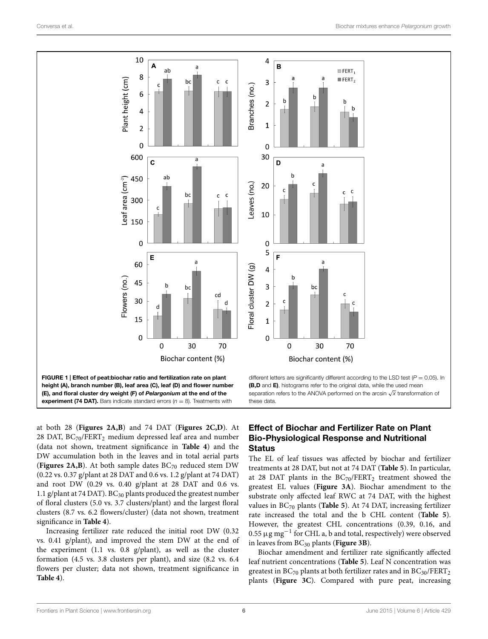

<span id="page-5-0"></span>at both 28 (**[Figures 2A,B](#page-6-0)**) and 74 DAT (**[Figures 2C,D](#page-6-0)**). At 28 DAT,  $BC_{70}/FERT_2$  medium depressed leaf area and number (data not shown, treatment significance in **[Table 4](#page-4-0)**) and the DW accumulation both in the leaves and in total aerial parts (**[Figures 2A,B](#page-6-0)**). At both sample dates  $BC_{70}$  reduced stem DW (0.22 vs. 0.37 g/plant at 28 DAT and 0.6 vs. 1.2 g/plant at 74 DAT) and root DW (0.29 vs. 0.40 g/plant at 28 DAT and 0.6 vs. 1.1 g/plant at 74 DAT).  $BC_{30}$  plants produced the greatest number of floral clusters (5.0 vs. 3.7 clusters/plant) and the largest floral clusters (8.7 vs. 6.2 flowers/cluster) (data not shown, treatment significance in **[Table 4](#page-4-0)**).

Increasing fertilizer rate reduced the initial root DW (0.32 vs. 0.41 g/plant), and improved the stem DW at the end of the experiment (1.1 vs. 0.8 g/plant), as well as the cluster formation (4.5 vs. 3.8 clusters per plant), and size (8.2 vs. 6.4 flowers per cluster; data not shown, treatment significance in **[Table 4](#page-4-0)**).

## Effect of Biochar and Fertilizer Rate on Plant Bio-Physiological Response and Nutritional **Status**

The EL of leaf tissues was affected by biochar and fertilizer treatments at 28 DAT, but not at 74 DAT (**[Table 5](#page-7-0)**). In particular, at 28 DAT plants in the  $BC_{70}/FERT_2$  treatment showed the greatest EL values (**[Figure 3A](#page-6-1)**). Biochar amendment to the substrate only affected leaf RWC at 74 DAT, with the highest values in BC70 plants (**[Table 5](#page-7-0)**). At 74 DAT, increasing fertilizer rate increased the total and the b CHL content (**[Table 5](#page-7-0)**). However, the greatest CHL concentrations (0.39, 0.16, and 0.55  $\mu$ g mg<sup>-1</sup> for CHL a, b and total, respectively) were observed in leaves from BC<sub>30</sub> plants ([Figure 3B](#page-6-1)).

Biochar amendment and fertilizer rate significantly affected leaf nutrient concentrations (**[Table 5](#page-7-0)**). Leaf N concentration was greatest in  $BC_{70}$  plants at both fertilizer rates and in  $BC_{30}/FERT_2$ plants (**[Figure 3C](#page-6-1)**). Compared with pure peat, increasing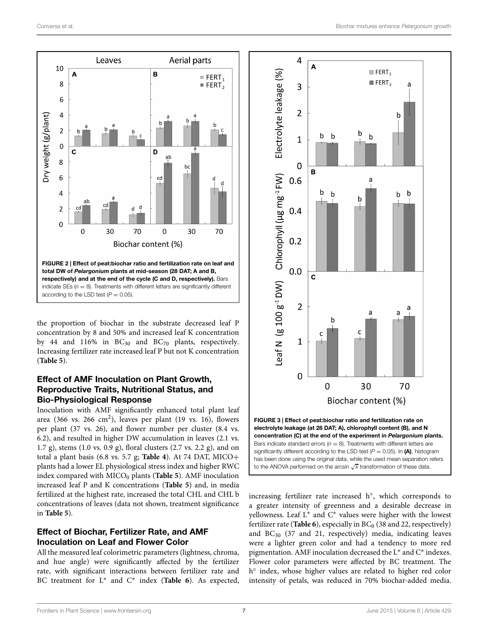

<span id="page-6-0"></span>the proportion of biochar in the substrate decreased leaf P concentration by 8 and 50% and increased leaf K concentration by 44 and 116% in  $BC_{30}$  and  $BC_{70}$  plants, respectively. Increasing fertilizer rate increased leaf P but not K concentration (**[Table 5](#page-7-0)**).

## Effect of AMF Inoculation on Plant Growth, Reproductive Traits, Nutritional Status, and Bio-Physiological Response

Inoculation with AMF significantly enhanced total plant leaf area (366 vs. 266 cm<sup>2</sup>), leaves per plant (19 vs. 16), flowers per plant (37 vs. 26), and flower number per cluster (8.4 vs. 6.2), and resulted in higher DW accumulation in leaves (2.1 vs. 1.7 g), stems (1.0 vs. 0.9 g), floral clusters (2.7 vs. 2.2 g), and on total a plant basis (6.8 vs. 5.7 g; **[Table 4](#page-4-0)**). At 74 DAT, MICO<sup>+</sup> plants had a lower EL physiological stress index and higher RWC index compared with  $MICO<sub>0</sub>$  plants (**[Table 5](#page-7-0)**). AMF inoculation increased leaf P and K concentrations (**Table 5**) and, in media fertilized at the highest rate, increased the total CHL and CHL b concentrations of leaves (data not shown, treatment significance in **[Table 5](#page-7-0)**).

#### Effect of Biochar, Fertilizer Rate, and AMF Inoculation on Leaf and Flower Color

All the measured leaf colorimetric parameters (lightness, chroma, and hue angle) were significantly affected by the fertilizer rate, with significant interactions between fertilizer rate and BC treatment for L<sup>∗</sup> and C<sup>∗</sup> index (**[Table 6](#page-8-0)**). As expected,



<span id="page-6-1"></span>significantly different according to the LSD test  $(P = 0.05)$ . In (A), histogram has been done using the original data, while the used mean separation refers to the ANOVA performed on the arcsin <sup>√</sup>*<sup>x</sup>* transformation of these data.

increasing fertilizer rate increased h◦, which corresponds to a greater intensity of greenness and a desirable decrease in yellowness. Leaf L∗ and C∗ values were higher with the lowest fertilizer rate (**[Table 6](#page-8-0)**), especially in  $BC<sub>0</sub>$  (38 and 22, respectively) and BC30 (37 and 21, respectively) media, indicating leaves were a lighter green color and had a tendency to more red pigmentation. AMF inoculation decreased the L∗ and C∗ indexes. Flower color parameters were affected by BC treatment. The h<sup>o</sup> index, whose higher values are related to higher red color intensity of petals, was reduced in 70% biochar-added media.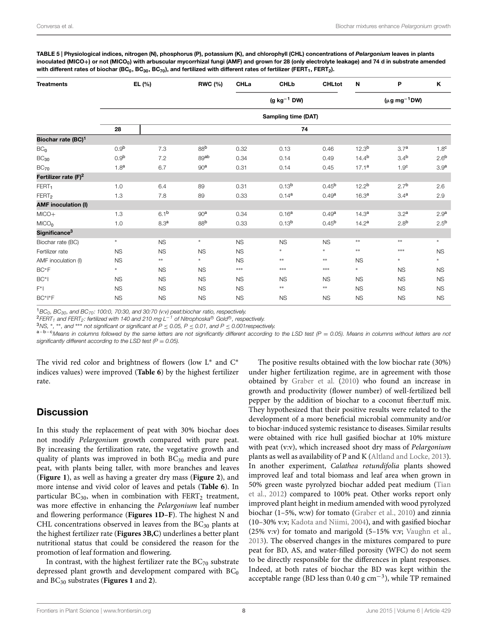<span id="page-7-0"></span>TABLE 5 | Physiological indices, nitrogen (N), phosphorus (P), potassium (K), and chlorophyll (CHL) concentrations of *Pelargonium* leaves in plants inoculated (MICO<sub>+</sub>) or not (MICO<sub>0</sub>) with arbuscular mycorrhizal fungi (AMF) and grown for 28 (only electrolyte leakage) and 74 d in substrate amended with different rates of biochar (BC<sub>0</sub>, BC<sub>30</sub>, BC<sub>70</sub>), and fertilized with different rates of fertilizer (FERT<sub>1</sub>, FERT<sub>2</sub>).

| <b>Treatments</b>                | EL (%)              |                                                 | <b>RWC (%)</b>  | CHLa      | <b>CHLb</b>       | <b>CHLtot</b>     | N                 | P                | K                |  |  |  |  |  |  |
|----------------------------------|---------------------|-------------------------------------------------|-----------------|-----------|-------------------|-------------------|-------------------|------------------|------------------|--|--|--|--|--|--|
|                                  |                     | $(g kg-1 DW)$<br>( $\mu$ g mg <sup>-1</sup> DW) |                 |           |                   |                   |                   |                  |                  |  |  |  |  |  |  |
|                                  | Sampling time (DAT) |                                                 |                 |           |                   |                   |                   |                  |                  |  |  |  |  |  |  |
|                                  | 28                  |                                                 |                 |           | 74                |                   |                   |                  |                  |  |  |  |  |  |  |
| Biochar rate (BC) <sup>1</sup>   |                     |                                                 |                 |           |                   |                   |                   |                  |                  |  |  |  |  |  |  |
| BC <sub>0</sub>                  | 0.9 <sup>b</sup>    | 7.3                                             | 88 <sup>b</sup> | 0.32      | 0.13              | 0.46              | 12.3 <sup>b</sup> | 3.7 <sup>a</sup> | 1.8 <sup>c</sup> |  |  |  |  |  |  |
| $BC_{30}$                        | 0.9 <sup>b</sup>    | 7.2                                             | 89ab            | 0.34      | 0.14              | 0.49              | $14.4^{b}$        | 3.4 <sup>b</sup> | 2.6 <sup>b</sup> |  |  |  |  |  |  |
| $BC_{70}$                        | 1.8 <sup>a</sup>    | 6.7                                             | 90 <sup>a</sup> | 0.31      | 0.14              | 0.45              | 17.1 <sup>a</sup> | 1.9 <sup>c</sup> | 3.9 <sup>a</sup> |  |  |  |  |  |  |
| Fertilizer rate (F) <sup>2</sup> |                     |                                                 |                 |           |                   |                   |                   |                  |                  |  |  |  |  |  |  |
| FERT <sub>1</sub>                | 1.0                 | 6.4                                             | 89              | 0.31      | 0.13 <sup>b</sup> | $0.45^{b}$        | 12.2 <sup>b</sup> | 2.7 <sup>b</sup> | 2.6              |  |  |  |  |  |  |
| FERT <sub>2</sub>                | 1.3                 | 7.8                                             | 89              | 0.33      | 0.14 <sup>a</sup> | 0.49a             | 16.3 <sup>a</sup> | 3.4 <sup>a</sup> | 2.9              |  |  |  |  |  |  |
| <b>AMF</b> inoculation (I)       |                     |                                                 |                 |           |                   |                   |                   |                  |                  |  |  |  |  |  |  |
| $MICO+$                          | 1.3                 | 6.1 <sup>b</sup>                                | 90 <sup>a</sup> | 0.34      | 0.16 <sup>a</sup> | 0.49 <sup>a</sup> | 14.3 <sup>a</sup> | 3.2 <sup>a</sup> | 2.9 <sup>a</sup> |  |  |  |  |  |  |
| MICO <sub>0</sub>                | 1.0                 | 8.3 <sup>a</sup>                                | 88 <sup>b</sup> | 0.33      | 0.13 <sup>b</sup> | $0.45^{b}$        | 14.2 <sup>a</sup> | 2.8 <sup>b</sup> | 2.5 <sup>b</sup> |  |  |  |  |  |  |
| Significance <sup>3</sup>        |                     |                                                 |                 |           |                   |                   |                   |                  |                  |  |  |  |  |  |  |
| Biochar rate (BC)                | $\ast$              | <b>NS</b>                                       | $\ast$          | <b>NS</b> | <b>NS</b>         | <b>NS</b>         | $\ast\ast$        | $***$            | $\ast$           |  |  |  |  |  |  |
| Fertilizer rate                  | <b>NS</b>           | <b>NS</b>                                       | <b>NS</b>       | <b>NS</b> | $\ast$            | *                 | $***$             | ***              | <b>NS</b>        |  |  |  |  |  |  |
| AMF inoculation (I)              | <b>NS</b>           | $***$                                           | $\ast$          | <b>NS</b> | $\ast\ast$        | $***$             | <b>NS</b>         | $*$              | $\ast$           |  |  |  |  |  |  |
| $BC*F$                           | $\ast$              | <b>NS</b>                                       | NS              | ***       | $***$             | $***$             | $\ast$            | <b>NS</b>        | <b>NS</b>        |  |  |  |  |  |  |
| $BC*I$                           | <b>NS</b>           | <b>NS</b>                                       | <b>NS</b>       | <b>NS</b> | <b>NS</b>         | <b>NS</b>         | <b>NS</b>         | <b>NS</b>        | <b>NS</b>        |  |  |  |  |  |  |
| $F^*I$                           | <b>NS</b>           | <b>NS</b>                                       | <b>NS</b>       | <b>NS</b> | $\ast\ast$        | $\ast\ast$        | <b>NS</b>         | <b>NS</b>        | <b>NS</b>        |  |  |  |  |  |  |
| BC*I*F                           | <b>NS</b>           | <b>NS</b>                                       | <b>NS</b>       | <b>NS</b> | <b>NS</b>         | <b>NS</b>         | <b>NS</b>         | <b>NS</b>        | <b>NS</b>        |  |  |  |  |  |  |

<sup>1</sup>BC<sub>0</sub>, BC<sub>30</sub>, and BC<sub>70</sub>: 100:0, 70:30, and 30:70 (v:v) peat:biochar ratio, respectively.<br><sup>2</sup>FERT<sub>1</sub> and FERT<sub>2</sub>: fertilized with 140 and 210 mg L<sup>-1</sup> of Nitrophoska<sup>®</sup> Gold®, respectively.<br><sup>3</sup>NS, \*, \*\*, and \*\*\* not s *significantly different according to the LSD test (P = 0.05).* 

The vivid red color and brightness of flowers (low L<sup>∗</sup> and C<sup>∗</sup> indices values) were improved (**[Table 6](#page-8-0)**) by the highest fertilizer rate.

# **Discussion**

In this study the replacement of peat with 30% biochar does not modify *Pelargonium* growth compared with pure peat. By increasing the fertilization rate, the vegetative growth and quality of plants was improved in both  $BC_{30}$  media and pure peat, with plants being taller, with more branches and leaves (**[Figure 1](#page-5-0)**), as well as having a greater dry mass (**[Fi](#page-6-0)[gure](#page-8-0)[2](#page-8-0)**), and more intense and vivid color of leaves and petals (**Table 6**). In particular  $BC_{30}$ , when in combination with  $FERT_2$  treatment, was more effective in enhancing the *Pelargonium* leaf number and flowering performance (**[Figures 1D–F](#page-5-0)**). The highest N and CHL concentrations observed in leaves from the  $BC_{30}$  plants at the highest fertilizer rate (**[Figures 3B,C](#page-6-1)**) underlines a better plant nutritional status that could be considered the reason for the promotion of leaf formation and flowering.

In contrast, with the highest fertilizer rate the  $BC_{70}$  substrate depressed plant growth and development compared with  $BC_0$ and BC30 substrates (**Figures 1** [and](#page-5-0) **<sup>2</sup>**).

The positive results obtained with the low biochar rate (30%) under higher fertilization regime, are in agreement with those obtained by [Graber et al.](#page-9-6) [\(2010\)](#page-9-6) who found an increase in growth and productivity (flower number) of well-fertilized bell pepper by the addition of biochar to a coconut fiber:tuff mix. They hypothesized that their positive results were related to the development of a more beneficial microbial community and/or to biochar-induced systemic resistance to diseases. Similar results were obtained with rice hull gasified biochar at 10% mixture with peat (v:v), which increased shoot dry mass of *Pelargonium* plants as well as availability of P and K [\(Altland and Locke](#page-9-12), [2013\)](#page-9-12). In another experiment, *Calathea rotundifolia* plants showed improved leaf and total biomass and leaf area when grown in 50% [green](#page-10-16) [waste](#page-10-16) [pyrolyzed](#page-10-16) [biochar](#page-10-16) [added](#page-10-16) [peat](#page-10-16) [medium](#page-10-16) [\(](#page-10-16)Tian et al., [2012\)](#page-10-16) compared to 100% peat. Other works report only improved plant height in medium amended with wood pyrolyzed biochar (1–5%, w:w) for tomato [\(Graber et al., 2010\)](#page-9-6) and zinnia (10–30% v:v; [Kadota and Niimi, 2004\)](#page-9-13), and with gasified biochar (25% v:v) for tomato and marigold (5–15% v:v; [Vaughn et al.](#page-10-17), [2013\)](#page-10-17). The observed changes in the mixtures compared to pure peat for BD, AS, and water-filled porosity (WFC) do not seem to be directly responsible for the differences in plant responses. Indeed, at both rates of biochar the BD was kept within the acceptable range (BD less than 0.40 g  $cm^{-3}$ ), while TP remained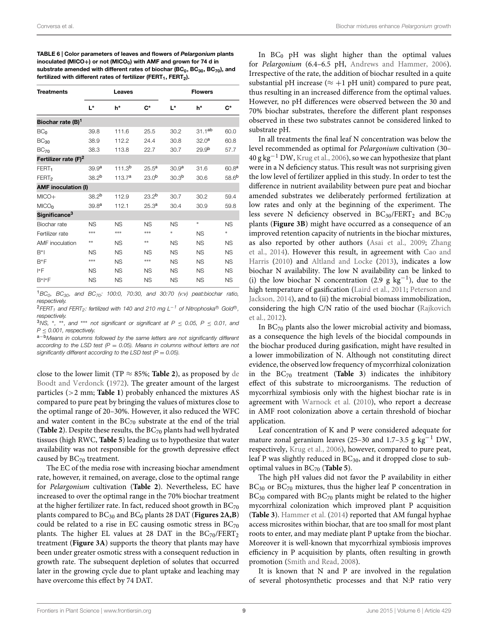<span id="page-8-0"></span>TABLE 6 | Color parameters of leaves and flowers of *Pelargonium* plants inoculated (MICO+) or not (MICO<sub>0</sub>) with AMF and grown for 74 d in substrate amended with different rates of biochar (BC $_0$ , BC $_{30}$ , BC $_{70}$ ), and fertilized with different rates of fertilizer (FERT<sub>1</sub>, FERT<sub>2</sub>).

| <b>Treatments</b>                |                   | Leaves             |                   | <b>Flowers</b>    |                   |                   |  |  |  |  |
|----------------------------------|-------------------|--------------------|-------------------|-------------------|-------------------|-------------------|--|--|--|--|
|                                  | L*                | h*                 | $C^*$             | L*                | h*                | $\mathbf{C}^*$    |  |  |  |  |
| Biochar rate (B) <sup>1</sup>    |                   |                    |                   |                   |                   |                   |  |  |  |  |
| BC <sub>0</sub>                  | 39.8              | 111.6              | 25.5              | 30.2              | $31.1^{ab}$       | 60.0              |  |  |  |  |
| $BC_{30}$                        | 38.9              | 112.2              | 24.4              | 30.8              | 32.0 <sup>a</sup> | 60.8              |  |  |  |  |
| $BC_{70}$                        | 38.3              | 113.8              | 22.7              | 30.7              | 29.9 <sup>b</sup> | 57.7              |  |  |  |  |
| Fertilizer rate (F) <sup>2</sup> |                   |                    |                   |                   |                   |                   |  |  |  |  |
| FERT <sub>1</sub>                | 39.9 <sup>a</sup> | 111.3 <sup>b</sup> | 25.5 <sup>a</sup> | 30.9 <sup>a</sup> | 31.6              | 60.8 <sup>a</sup> |  |  |  |  |
| FERT <sub>2</sub>                | 38.2 <sup>b</sup> | 113.7 <sup>a</sup> | 23.0 <sup>b</sup> | 30.3 <sup>b</sup> | 30.6              | 58.6 <sup>b</sup> |  |  |  |  |
| <b>AMF</b> inoculation (I)       |                   |                    |                   |                   |                   |                   |  |  |  |  |
| $MICO+$                          | 38.2 <sup>b</sup> | 112.9              | 23.2 <sup>b</sup> | 30.7              | 30.2              | 59.4              |  |  |  |  |
| MICO <sub>n</sub>                | 39.8 <sup>a</sup> | 112.1              | 25.3 <sup>a</sup> | 30.4              | 30.9              | 59.8              |  |  |  |  |
| Significance <sup>3</sup>        |                   |                    |                   |                   |                   |                   |  |  |  |  |
| Biochar rate                     | <b>NS</b>         | <b>NS</b>          | <b>NS</b>         | <b>NS</b>         | $\ast$            | <b>NS</b>         |  |  |  |  |
| Fertilizer rate                  | ***               | ***                | ***               | *                 | <b>NS</b>         | $\ast$            |  |  |  |  |
| <b>AMF</b> inoculation           | **                | <b>NS</b>          | **                | <b>NS</b>         | <b>NS</b>         | <b>NS</b>         |  |  |  |  |
| $B^*1$                           | <b>NS</b>         | <b>NS</b>          | <b>NS</b>         | <b>NS</b>         | <b>NS</b>         | <b>NS</b>         |  |  |  |  |
| $B*F$                            | ***               | <b>NS</b>          | ***               | <b>NS</b>         | <b>NS</b>         | <b>NS</b>         |  |  |  |  |
| $ *F$                            | <b>NS</b>         | <b>NS</b>          | <b>NS</b>         | <b>NS</b>         | <b>NS</b>         | <b>NS</b>         |  |  |  |  |
| $B^*$  *F                        | <b>NS</b>         | <b>NS</b>          | <b>NS</b>         | <b>NS</b>         | <b>NS</b>         | <b>NS</b>         |  |  |  |  |

<sup>1</sup>*BC0, BC30, and BC70: 100:0, 70:30, and 30:70 (v:v) peat:biochar ratio, respectively.*

<sup>2</sup>*FERT<sub>1</sub></sub> and FERT<sub>2</sub>: fertilized with 140 and 210 mg L<sup>−1</sup> of Nitrophoska<sup>®</sup> Gold<sup>®</sup>, respectively.*

<sup>3</sup>*NS,* <sup>∗</sup>*,* ∗∗*, and* ∗∗∗ *not significant or significant at P* <sup>≤</sup> *0.05, P* <sup>≤</sup> *0.01, and*

<sup>a-b</sup>Means in columns followed by the same letters are not significantly different *according to the LSD test (P* = *0.05). Means in columns without letters are not significantly different according to the LSD test (P* = *0.05).*

close to the lower limit (TP  $\approx$  85%; **[Table 2](#page-2-1)**[\), as proposed by](#page-9-8) de Boodt and Verdonck [\(1972\)](#page-9-8). The greater amount of the largest particles (*>*2 mm; **[Table 1](#page-2-0)**) probably enhanced the mixtures AS compared to pure peat by bringing the values of mixtures close to the optimal range of 20–30%. However, it also reduced the WFC and water content in the  $BC_{70}$  substrate at the end of the trial ([Table 2](#page-2-1)). Despite these results, the BC<sub>70</sub> plants had well hydrated tissues (high RWC, **[Table 5](#page-7-0)**) leading us to hypothesize that water availability was not responsible for the growth depressive effect caused by BC<sub>70</sub> treatment.

The EC of the media rose with increasing biochar amendment rate, however, it remained, on average, close to the optimal range for *Pelargonium* cultivation (**[Table 2](#page-2-1)**). Nevertheless, EC have increased to over the optimal range in the 70% biochar treatment at the higher fertilizer rate. In fact, reduced shoot growth in  $BC_{70}$ plants compared to BC<sub>30</sub> and BC<sub>0</sub> plants 28 DAT ([Figures 2A,B](#page-6-0)) could be related to a rise in EC causing osmotic stress in  $BC_{70}$ plants. The higher EL values at 28 DAT in the  $BC_{70}/FERT_2$ treatment (**[Figure 3A](#page-6-1)**) supports the theory that plants may have been under greater osmotic stress with a consequent reduction in growth rate. The subsequent depletion of solutes that occurred later in the growing cycle due to plant uptake and leaching may have overcome this effect by 74 DAT.

In  $BC_0$  pH was slight higher than the optimal values for *Pelargonium* (6.4–6.5 pH, [Andrews and Hammer](#page-9-14), [2006](#page-9-14)). Irrespective of the rate, the addition of biochar resulted in a quite substantial pH increase ( $\approx +1$  pH unit) compared to pure peat, thus resulting in an increased difference from the optimal values. However, no pH differences were observed between the 30 and 70% biochar substrates, therefore the different plant responses observed in these two substrates cannot be considered linked to substrate pH.

In all treatments the final leaf N concentration was below the level recommended as optimal for *Pelargonium* cultivation (30–  $40 \text{ g kg}^{-1}$  DW, [Krug et al.](#page-9-15), [2006\)](#page-9-15), so we can hypothesize that plant were in a N deficiency status. This result was not surprising given the low level of fertilizer applied in this study. In order to test the difference in nutrient availability between pure peat and biochar amended substrates we deliberately performed fertilization at low rates and only at the beginning of the experiment. The less severe N deficiency observed in  $BC_{30}/FERT_2$  and  $BC_{70}$ plants (**[Figure 3B](#page-6-1)**) might have occurred as a consequence of an improved retention capacity of nutrients in the biochar mixtures, as a[lso reported by other authors](#page-10-23) [\(Asai et al.](#page-9-16)[,](#page-10-23) [2009](#page-9-16)[;](#page-10-23) Zhang et al., [2014\)](#page-10-23)[. However this result, in agreement with](#page-9-17) Cao and Harris [\(2010\)](#page-9-17) and [Altland and Locke](#page-9-12) [\(2013](#page-9-12)), indicates a low biochar N availability. The low N availability can be linked to (i) the low biochar N concentration (2.9 g  $kg^{-1}$ ), due to the high te[mperature](#page-10-19) [of](#page-10-19) [gasification](#page-10-19) [\(Laird et al.](#page-10-4)[,](#page-10-19) [2011](#page-10-4)[;](#page-10-19) Peterson and Jackson, [2014\)](#page-10-19), and to (ii) the microbial biomass immobilization, cons[idering](#page-10-24) [the](#page-10-24) [high](#page-10-24) [C/N](#page-10-24) [ratio](#page-10-24) [of](#page-10-24) [the](#page-10-24) [used](#page-10-24) [biochar](#page-10-24) [\(](#page-10-24)Rajkovich et al., [2012](#page-10-24)).

In BC70 plants also the lower microbial activity and biomass, as a consequence the high levels of the biocidal compounds in the biochar produced during gasification, might have resulted in a lower immobilization of N. Although not constituting direct evidence, the observed low frequency of mycorrhizal colonization in the  $BC_{70}$  treatment (**[Table 3](#page-3-0)**) indicates the inhibitory effect of this substrate to microorganisms. The reduction of mycorrhizal symbiosis only with the highest biochar rate is in agreement with [Warnock et al.](#page-10-8) [\(2010](#page-10-8)), who report a decrease in AMF root colonization above a certain threshold of biochar application.

Leaf concentration of K and P were considered adequate for mature zonal geranium leaves (25–30 and 1.7–3.5 g kg<sup>-1</sup> DW, respectively, [Krug et al.](#page-9-15), [2006](#page-9-15)), however, compared to pure peat, leaf P was slightly reduced in  $BC_{30}$ , and it dropped close to suboptimal values in BC70 (**[Table 5](#page-7-0)**).

The high pH values did not favor the P availability in either BC<sub>30</sub> or BC<sub>70</sub> mixtures, thus the higher leaf P concentration in  $BC_{30}$  compared with  $BC_{70}$  plants might be related to the higher mycorrhizal colonization which improved plant P acquisition (**[Table 3](#page-3-0)**). [Hammer et al.](#page-9-18) [\(2014](#page-9-18)) reported that AM fungal hyphae access microsites within biochar, that are too small for most plant roots to enter, and may mediate plant P uptake from the biochar. Moreover it is well-known that mycorrhizal symbiosis improves efficiency in P acquisition by plants, often resulting in growth promotion [\(Smith and Read](#page-10-25), [2008](#page-10-25)).

It is known that N and P are involved in the regulation of several photosynthetic processes and that N:P ratio very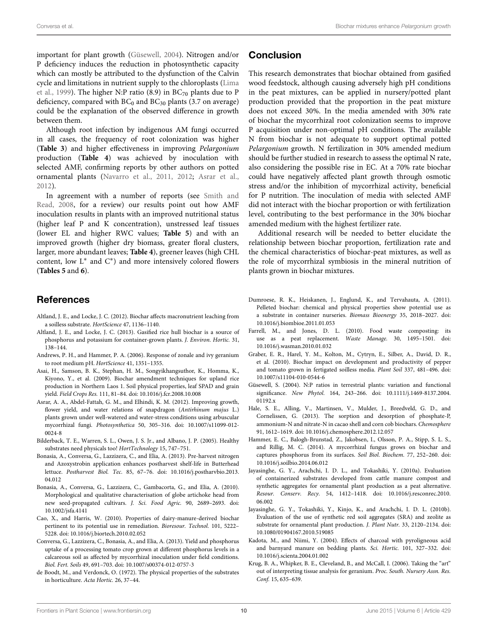important for plant growth [\(Güsewell](#page-9-19), [2004](#page-9-19)). Nitrogen and/or P deficiency induces the reduction in photosynthetic capacity which can mostly be attributed to the dysfunction of the Calvin cycl[e](#page-10-26) [and](#page-10-26) [limitations](#page-10-26) [in](#page-10-26) [nutrient](#page-10-26) [supply](#page-10-26) [to](#page-10-26) [the](#page-10-26) [chloroplasts](#page-10-26) [\(](#page-10-26)Lima et al., [1999\)](#page-10-26). The higher N:P ratio (8.9) in  $BC<sub>70</sub>$  plants due to P deficiency, compared with  $BC_0$  and  $BC_{30}$  plants (3.7 on average) could be the explanation of the observed difference in growth between them.

Although root infection by indigenous AM fungi occurred in all cases, the frequency of root colonization was higher (**[Table 3](#page-3-0)**) and higher effectiveness in improving *Pelargonium* production (**[Table 4](#page-4-0)**) was achieved by inoculation with selected AMF, confirming reports by other authors on potted ornamental plants [\(Navarro et al.](#page-10-11), [2011](#page-10-11), [2012;](#page-10-12) [Asrar et al.](#page-9-20), [2012](#page-9-20)).

I[n agreement with a number of reports \(see](#page-10-25) Smith and Read, [2008,](#page-10-25) for a review) our results point out how AMF inoculation results in plants with an improved nutritional status (higher leaf P and K concentration), unstressed leaf tissues (lower EL and higher RWC values; **[Table 5](#page-7-0)**) and with an improved growth (higher dry biomass, greater floral clusters, larger, more abundant leaves; **[Table 4](#page-4-0)**), greener leaves (high CHL content, low  $L^*$  and  $C^*$ ) and more intensively colored flowers (**Tables 5** [and](#page-7-0) **6**).

# References

- <span id="page-9-5"></span>Altland, J. E., and Locke, J. C. (2012). Biochar affects macronutrient leaching from a soilless substrate. *HortScience* 47, 1136–1140.
- <span id="page-9-12"></span>Altland, J. E., and Locke, J. C. (2013). Gasified rice hull biochar is a source of phosphorus and potassium for container-grown plants. *J. Environ. Hortic.* 31, 138–144.
- <span id="page-9-14"></span>Andrews, P. H., and Hammer, P. A. (2006). Response of zonale and ivy geranium to root medium pH. *HortScience* 41, 1351–1355.
- <span id="page-9-16"></span>Asai, H., Samson, B. K., Stephan, H. M., Songyikhangsuthor, K., Homma, K., Kiyono, Y., et al. (2009). Biochar amendment techniques for upland rice production in Northern Laos 1. Soil physical properties, leaf SPAD and grain yield. *Field Crops Res.* 111, 81–84. doi: 10.1016/j.fcr.2008.10.008
- <span id="page-9-20"></span>Asrar, A. A., Abdel-Fattah, G. M., and Elhindi, K. M. (2012). Improving growth, flower yield, and water relations of snapdragon (*Antirhinum majus* L.) plants grown under well-watered and water-stress conditions using arbuscular mycorrhizal fungi*. Photosynthetica* 50, 305–316. doi: 10.1007/s11099-012- 0024-8
- <span id="page-9-1"></span>Bilderback, T. E., Warren, S. L., Owen, J. S. Jr., and Albano, J. P. (2005). Healthy substrates need physicals too! *HortTechnology* 15, 747–751.
- <span id="page-9-11"></span>Bonasia, A., Conversa, G., Lazzizera, C., and Elia, A. (2013). Pre-harvest nitrogen and Azoxystrobin application enhances postharvest shelf-life in Butterhead lettuce. *Postharvest Biol. Tec.* 85, 67–76. doi: 10.1016/j.postharvbio.2013. 04.012
- <span id="page-9-10"></span>Bonasia, A., Conversa, G., Lazzizera, C., Gambacorta, G., and Elia, A. (2010). Morphological and qualitative characterisation of globe artichoke head from new seed-propagated cultivars. *J. Sci. Food Agric.* 90, 2689–2693. doi: 10.1002/jsfa.4141
- <span id="page-9-17"></span>Cao, X., and Harris, W. (2010). Properties of dairy-manure-derived biochar pertinent to its potential use in remediation. *Bioresour. Technol.* 101, 5222– 5228. doi: 10.1016/j.biortech.2010.02.052
- <span id="page-9-9"></span>Conversa, G., Lazzizera, C., Bonasia, A., and Elia, A. (2013). Yield and phosphorus uptake of a processing tomato crop grown at different phosphorus levels in a calcareous soil as affected by mycorrhizal inoculation under field conditions. *Biol. Fert. Soils* 49, 691–703. doi: 10.1007/s00374-012-0757-3
- <span id="page-9-8"></span>de Boodt, M., and Verdonck, O. (1972). The physical properties of the substrates in horticulture. *Acta Hortic.* 26, 37–44.

## Conclusion

This research demonstrates that biochar obtained from gasified wood feedstock, although causing adversely high pH conditions in the peat mixtures, can be applied in nursery/potted plant production provided that the proportion in the peat mixture does not exceed 30%. In the media amended with 30% rate of biochar the mycorrhizal root colonization seems to improve P acquisition under non-optimal pH conditions. The available N from biochar is not adequate to support optimal potted *Pelargonium* growth. N fertilization in 30% amended medium should be further studied in research to assess the optimal N rate, also considering the possible rise in EC. At a 70% rate biochar could have negatively affected plant growth through osmotic stress and/or the inhibition of mycorrhizal activity, beneficial for P nutrition. The inoculation of media with selected AMF did not interact with the biochar proportion or with fertilization level, contributing to the best performance in the 30% biochar amended medium with the highest fertilizer rate.

Additional research will be needed to better elucidate the relationship between biochar proportion, fertilization rate and the chemical characteristics of biochar-peat mixtures, as well as the role of mycorrhizal symbiosis in the mineral nutrition of plants grown in biochar mixtures.

- <span id="page-9-4"></span>Dumroese, R. K., Heiskanen, J., Englund, K., and Tervahauta, A. (2011). Pelleted biochar: chemical and physical properties show potential use as a substrate in container nurseries. *Biomass Bioenergy* 35, 2018–2027. doi: 10.1016/j.biombioe.2011.01.053
- <span id="page-9-2"></span>Farrell, M., and Jones, D. L. (2010). Food waste composting: its use as a peat replacement. *Waste Manage.* 30, 1495–1501. doi: 10.1016/j.wasman.2010.01.032
- <span id="page-9-6"></span>Graber, E. R., Harel, Y. M., Kolton, M., Cytryn, E., Silber, A., David, D. R., et al. (2010). Biochar impact on development and productivity of pepper and tomato grown in fertigated soilless media. *Plant Soil* 337, 481–496. doi: 10.1007/s11104-010-0544-6
- <span id="page-9-19"></span>Güsewell, S. (2004). N:P ratios in terrestrial plants: variation and functional significance. *New Phytol.* 164, 243–266. doi: 10.1111/j.1469-8137.2004. 01192.x
- <span id="page-9-0"></span>Hale, S. E., Alling, V., Martinsen, V., Mulder, J., Breedveld, G. D., and Cornelissen, G. (2013). The sorption and desorption of phosphate-P, ammonium-N and nitrate-N in cacao shell and corn cob biochars. *Chemosphere* 91, 1612–1619. doi: 10.1016/j.chemosphere.2012.12.057
- <span id="page-9-18"></span>Hammer, E. C., Balogh-Brunstad, Z., Jakobsen, I., Olsson, P. A., Stipp, S. L. S., and Rillig, M. C. (2014). A mycorrhizal fungus grows on biochar and captures phosphorus from its surfaces. *Soil Biol. Biochem.* 77, 252–260. doi: 10.1016/j.soilbio.2014.06.012
- <span id="page-9-7"></span>Jayasinghe, G. Y., Arachchi, I. D. L., and Tokashiki, Y. (2010a). Evaluation of containerized substrates developed from cattle manure compost and synthetic aggregates for ornamental plant production as a peat alternative. *Resour. Conserv. Recy.* 54, 1412–1418. doi: 10.1016/j.resconrec.2010. 06.002
- <span id="page-9-3"></span>Jayasinghe, G. Y., Tokashiki, Y., Kinjo, K., and Arachchi, I. D. L. (2010b). Evaluation of the use of synthetic red soil aggregates (SRA) and zeolite as substrate for ornamental plant production. *J. Plant Nutr.* 33, 2120–2134. doi: 10.1080/01904167.2010.519085
- <span id="page-9-13"></span>Kadota, M., and Niimi, Y. (2004). Effects of charcoal with pyroligneous acid and barnyard manure on bedding plants. *Sci. Hortic.* 101, 327–332. doi: 10.1016/j.scienta.2004.01.002
- <span id="page-9-15"></span>Krug, B. A., Whipker, B. E., Cleveland, B., and McCall, I. (2006). Taking the "art" out of interpreting tissue analysis for geranium. *Proc. South. Nursery Assn. Res. Conf.* 15, 635–639.